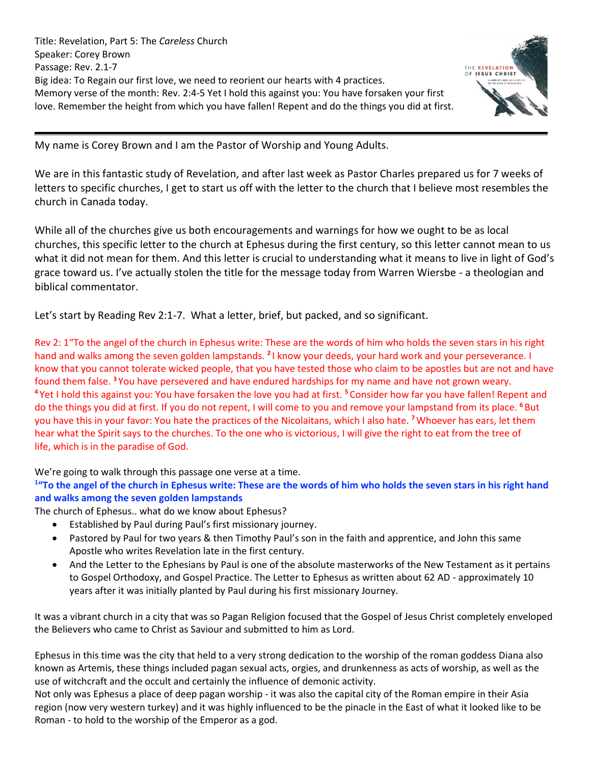Title: Revelation, Part 5: The *Careless* Church Speaker: Corey Brown Passage: Rev. 2.1-7 Big idea: To Regain our first love, we need to reorient our hearts with 4 practices. Memory verse of the month: Rev. 2:4-5 Yet I hold this against you: You have forsaken your first love. Remember the height from which you have fallen! Repent and do the things you did at first.



My name is Corey Brown and I am the Pastor of Worship and Young Adults.

We are in this fantastic study of Revelation, and after last week as Pastor Charles prepared us for 7 weeks of letters to specific churches, I get to start us off with the letter to the church that I believe most resembles the church in Canada today.

While all of the churches give us both encouragements and warnings for how we ought to be as local churches, this specific letter to the church at Ephesus during the first century, so this letter cannot mean to us what it did not mean for them. And this letter is crucial to understanding what it means to live in light of God's grace toward us. I've actually stolen the title for the message today from Warren Wiersbe - a theologian and biblical commentator.

Let's start by Reading Rev 2:1-7. What a letter, brief, but packed, and so significant.

Rev 2: 1"To the angel of the church in Ephesus write: These are the words of him who holds the seven stars in his right hand and walks among the seven golden lampstands. **<sup>2</sup>** I know your deeds, your hard work and your perseverance. I know that you cannot tolerate wicked people, that you have tested those who claim to be apostles but are not and have found them false. **<sup>3</sup>** You have persevered and have endured hardships for my name and have not grown weary. **<sup>4</sup>** Yet I hold this against you: You have forsaken the love you had at first. **<sup>5</sup>** Consider how far you have fallen! Repent and do the things you did at first. If you do not repent, I will come to you and remove your lampstand from its place. **<sup>6</sup>** But you have this in your favor: You hate the practices of the Nicolaitans, which I also hate. **<sup>7</sup>**Whoever has ears, let them hear what the Spirit says to the churches. To the one who is victorious, I will give the right to eat from the tree of life, which is in the paradise of God.

We're going to walk through this passage one verse at a time.

# **1 "To the angel of the church in Ephesus write: These are the words of him who holds the seven stars in his right hand and walks among the seven golden lampstands**

The church of Ephesus.. what do we know about Ephesus?

- Established by Paul during Paul's first missionary journey.
- Pastored by Paul for two years & then Timothy Paul's son in the faith and apprentice, and John this same Apostle who writes Revelation late in the first century.
- And the Letter to the Ephesians by Paul is one of the absolute masterworks of the New Testament as it pertains to Gospel Orthodoxy, and Gospel Practice. The Letter to Ephesus as written about 62 AD - approximately 10 years after it was initially planted by Paul during his first missionary Journey.

It was a vibrant church in a city that was so Pagan Religion focused that the Gospel of Jesus Christ completely enveloped the Believers who came to Christ as Saviour and submitted to him as Lord.

Ephesus in this time was the city that held to a very strong dedication to the worship of the roman goddess Diana also known as Artemis, these things included pagan sexual acts, orgies, and drunkenness as acts of worship, as well as the use of witchcraft and the occult and certainly the influence of demonic activity.

Not only was Ephesus a place of deep pagan worship - it was also the capital city of the Roman empire in their Asia region (now very western turkey) and it was highly influenced to be the pinacle in the East of what it looked like to be Roman - to hold to the worship of the Emperor as a god.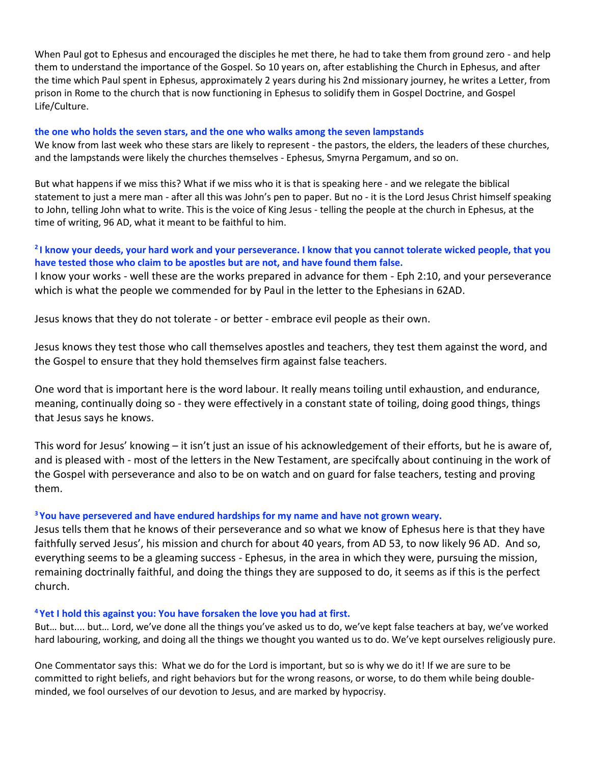When Paul got to Ephesus and encouraged the disciples he met there, he had to take them from ground zero - and help them to understand the importance of the Gospel. So 10 years on, after establishing the Church in Ephesus, and after the time which Paul spent in Ephesus, approximately 2 years during his 2nd missionary journey, he writes a Letter, from prison in Rome to the church that is now functioning in Ephesus to solidify them in Gospel Doctrine, and Gospel Life/Culture.

### **the one who holds the seven stars, and the one who walks among the seven lampstands**

We know from last week who these stars are likely to represent - the pastors, the elders, the leaders of these churches, and the lampstands were likely the churches themselves - Ephesus, Smyrna Pergamum, and so on.

But what happens if we miss this? What if we miss who it is that is speaking here - and we relegate the biblical statement to just a mere man - after all this was John's pen to paper. But no - it is the Lord Jesus Christ himself speaking to John, telling John what to write. This is the voice of King Jesus - telling the people at the church in Ephesus, at the time of writing, 96 AD, what it meant to be faithful to him.

## **2 I know your deeds, your hard work and your perseverance. I know that you cannot tolerate wicked people, that you have tested those who claim to be apostles but are not, and have found them false.**

I know your works - well these are the works prepared in advance for them - Eph 2:10, and your perseverance which is what the people we commended for by Paul in the letter to the Ephesians in 62AD.

Jesus knows that they do not tolerate - or better - embrace evil people as their own.

Jesus knows they test those who call themselves apostles and teachers, they test them against the word, and the Gospel to ensure that they hold themselves firm against false teachers.

One word that is important here is the word labour. It really means toiling until exhaustion, and endurance, meaning, continually doing so - they were effectively in a constant state of toiling, doing good things, things that Jesus says he knows.

This word for Jesus' knowing – it isn't just an issue of his acknowledgement of their efforts, but he is aware of, and is pleased with - most of the letters in the New Testament, are specifcally about continuing in the work of the Gospel with perseverance and also to be on watch and on guard for false teachers, testing and proving them.

### **<sup>3</sup> You have persevered and have endured hardships for my name and have not grown weary.**

Jesus tells them that he knows of their perseverance and so what we know of Ephesus here is that they have faithfully served Jesus', his mission and church for about 40 years, from AD 53, to now likely 96 AD. And so, everything seems to be a gleaming success - Ephesus, in the area in which they were, pursuing the mission, remaining doctrinally faithful, and doing the things they are supposed to do, it seems as if this is the perfect church.

### **<sup>4</sup> Yet I hold this against you: You have forsaken the love you had at first.**

But… but.... but… Lord, we've done all the things you've asked us to do, we've kept false teachers at bay, we've worked hard labouring, working, and doing all the things we thought you wanted us to do. We've kept ourselves religiously pure.

One Commentator says this: What we do for the Lord is important, but so is why we do it! If we are sure to be committed to right beliefs, and right behaviors but for the wrong reasons, or worse, to do them while being doubleminded, we fool ourselves of our devotion to Jesus, and are marked by hypocrisy.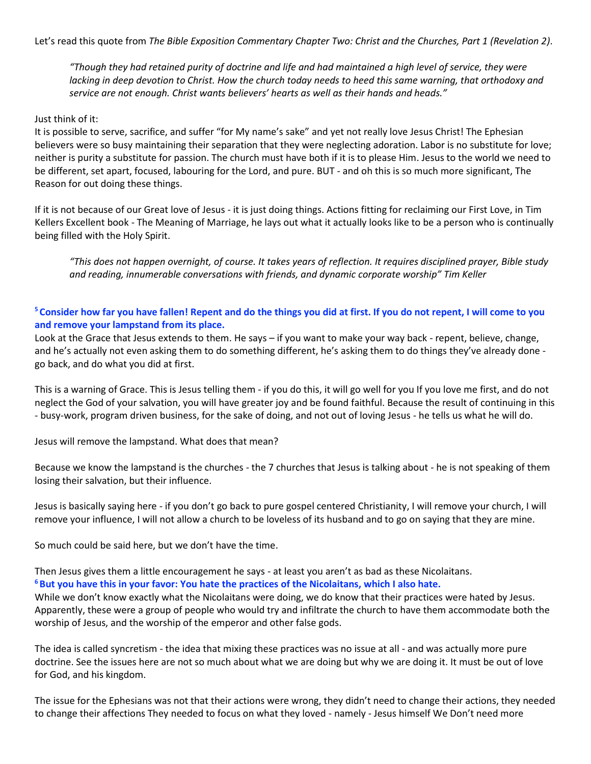Let's read this quote from *The Bible Exposition Commentary Chapter Two: Christ and the Churches, Part 1 (Revelation 2)*.

*"Though they had retained purity of doctrine and life and had maintained a high level of service, they were lacking in deep devotion to Christ. How the church today needs to heed this same warning, that orthodoxy and service are not enough. Christ wants believers' hearts as well as their hands and heads."*

#### Just think of it:

It is possible to serve, sacrifice, and suffer "for My name's sake" and yet not really love Jesus Christ! The Ephesian believers were so busy maintaining their separation that they were neglecting adoration. Labor is no substitute for love; neither is purity a substitute for passion. The church must have both if it is to please Him. Jesus to the world we need to be different, set apart, focused, labouring for the Lord, and pure. BUT - and oh this is so much more significant, The Reason for out doing these things.

If it is not because of our Great love of Jesus - it is just doing things. Actions fitting for reclaiming our First Love, in Tim Kellers Excellent book - The Meaning of Marriage, he lays out what it actually looks like to be a person who is continually being filled with the Holy Spirit.

*"This does not happen overnight, of course. It takes years of reflection. It requires disciplined prayer, Bible study and reading, innumerable conversations with friends, and dynamic corporate worship" Tim Keller*

## **<sup>5</sup> Consider how far you have fallen! Repent and do the things you did at first. If you do not repent, I will come to you and remove your lampstand from its place.**

Look at the Grace that Jesus extends to them. He says – if you want to make your way back - repent, believe, change, and he's actually not even asking them to do something different, he's asking them to do things they've already done go back, and do what you did at first.

This is a warning of Grace. This is Jesus telling them - if you do this, it will go well for you If you love me first, and do not neglect the God of your salvation, you will have greater joy and be found faithful. Because the result of continuing in this - busy-work, program driven business, for the sake of doing, and not out of loving Jesus - he tells us what he will do.

Jesus will remove the lampstand. What does that mean?

Because we know the lampstand is the churches - the 7 churches that Jesus is talking about - he is not speaking of them losing their salvation, but their influence.

Jesus is basically saying here - if you don't go back to pure gospel centered Christianity, I will remove your church, I will remove your influence, I will not allow a church to be loveless of its husband and to go on saying that they are mine.

So much could be said here, but we don't have the time.

Then Jesus gives them a little encouragement he says - at least you aren't as bad as these Nicolaitans. **<sup>6</sup>But you have this in your favor: You hate the practices of the Nicolaitans, which I also hate.**

While we don't know exactly what the Nicolaitans were doing, we do know that their practices were hated by Jesus. Apparently, these were a group of people who would try and infiltrate the church to have them accommodate both the worship of Jesus, and the worship of the emperor and other false gods.

The idea is called syncretism - the idea that mixing these practices was no issue at all - and was actually more pure doctrine. See the issues here are not so much about what we are doing but why we are doing it. It must be out of love for God, and his kingdom.

The issue for the Ephesians was not that their actions were wrong, they didn't need to change their actions, they needed to change their affections They needed to focus on what they loved - namely - Jesus himself We Don't need more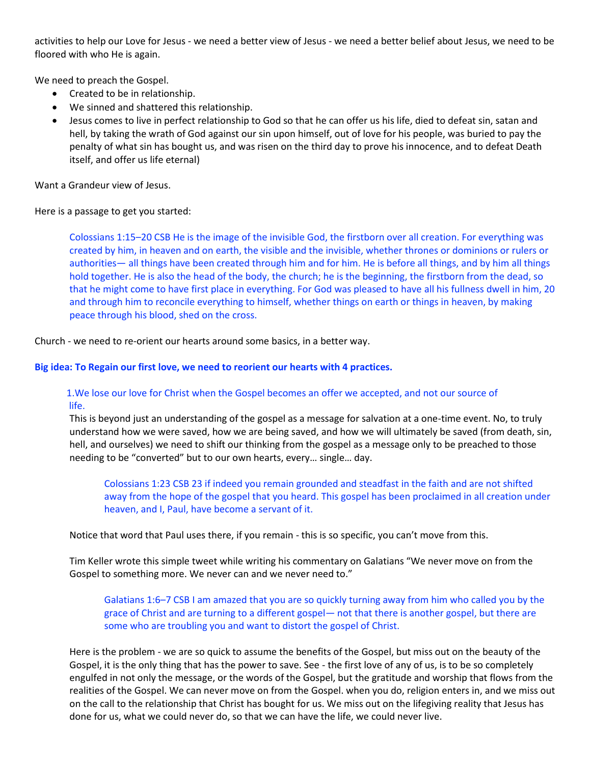activities to help our Love for Jesus - we need a better view of Jesus - we need a better belief about Jesus, we need to be floored with who He is again.

We need to preach the Gospel.

- Created to be in relationship.
- We sinned and shattered this relationship.
- Jesus comes to live in perfect relationship to God so that he can offer us his life, died to defeat sin, satan and hell, by taking the wrath of God against our sin upon himself, out of love for his people, was buried to pay the penalty of what sin has bought us, and was risen on the third day to prove his innocence, and to defeat Death itself, and offer us life eternal)

Want a Grandeur view of Jesus.

Here is a passage to get you started:

Colossians 1:15–20 CSB He is the image of the invisible God, the firstborn over all creation. For everything was created by him, in heaven and on earth, the visible and the invisible, whether thrones or dominions or rulers or authorities— all things have been created through him and for him. He is before all things, and by him all things hold together. He is also the head of the body, the church; he is the beginning, the firstborn from the dead, so that he might come to have first place in everything. For God was pleased to have all his fullness dwell in him, 20 and through him to reconcile everything to himself, whether things on earth or things in heaven, by making peace through his blood, shed on the cross.

Church - we need to re-orient our hearts around some basics, in a better way.

### **Big idea: To Regain our first love, we need to reorient our hearts with 4 practices.**

## 1.We lose our love for Christ when the Gospel becomes an offer we accepted, and not our source of life.

This is beyond just an understanding of the gospel as a message for salvation at a one-time event. No, to truly understand how we were saved, how we are being saved, and how we will ultimately be saved (from death, sin, hell, and ourselves) we need to shift our thinking from the gospel as a message only to be preached to those needing to be "converted" but to our own hearts, every… single… day.

Colossians 1:23 CSB 23 if indeed you remain grounded and steadfast in the faith and are not shifted away from the hope of the gospel that you heard. This gospel has been proclaimed in all creation under heaven, and I, Paul, have become a servant of it.

Notice that word that Paul uses there, if you remain - this is so specific, you can't move from this.

Tim Keller wrote this simple tweet while writing his commentary on Galatians "We never move on from the Gospel to something more. We never can and we never need to."

Galatians 1:6–7 CSB I am amazed that you are so quickly turning away from him who called you by the grace of Christ and are turning to a different gospel— not that there is another gospel, but there are some who are troubling you and want to distort the gospel of Christ.

Here is the problem - we are so quick to assume the benefits of the Gospel, but miss out on the beauty of the Gospel, it is the only thing that has the power to save. See - the first love of any of us, is to be so completely engulfed in not only the message, or the words of the Gospel, but the gratitude and worship that flows from the realities of the Gospel. We can never move on from the Gospel. when you do, religion enters in, and we miss out on the call to the relationship that Christ has bought for us. We miss out on the lifegiving reality that Jesus has done for us, what we could never do, so that we can have the life, we could never live.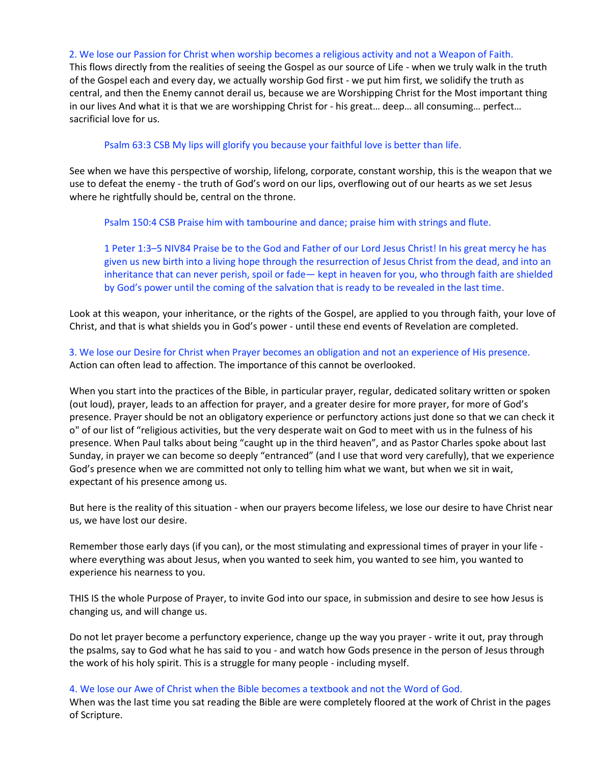#### 2. We lose our Passion for Christ when worship becomes a religious activity and not a Weapon of Faith.

This flows directly from the realities of seeing the Gospel as our source of Life - when we truly walk in the truth of the Gospel each and every day, we actually worship God first - we put him first, we solidify the truth as central, and then the Enemy cannot derail us, because we are Worshipping Christ for the Most important thing in our lives And what it is that we are worshipping Christ for - his great… deep… all consuming… perfect… sacrificial love for us.

### Psalm 63:3 CSB My lips will glorify you because your faithful love is better than life.

See when we have this perspective of worship, lifelong, corporate, constant worship, this is the weapon that we use to defeat the enemy - the truth of God's word on our lips, overflowing out of our hearts as we set Jesus where he rightfully should be, central on the throne.

Psalm 150:4 CSB Praise him with tambourine and dance; praise him with strings and flute.

1 Peter 1:3–5 NIV84 Praise be to the God and Father of our Lord Jesus Christ! In his great mercy he has given us new birth into a living hope through the resurrection of Jesus Christ from the dead, and into an inheritance that can never perish, spoil or fade— kept in heaven for you, who through faith are shielded by God's power until the coming of the salvation that is ready to be revealed in the last time.

Look at this weapon, your inheritance, or the rights of the Gospel, are applied to you through faith, your love of Christ, and that is what shields you in God's power - until these end events of Revelation are completed.

 3. We lose our Desire for Christ when Prayer becomes an obligation and not an experience of His presence. Action can often lead to affection. The importance of this cannot be overlooked.

When you start into the practices of the Bible, in particular prayer, regular, dedicated solitary written or spoken (out loud), prayer, leads to an affection for prayer, and a greater desire for more prayer, for more of God's presence. Prayer should be not an obligatory experience or perfunctory actions just done so that we can check it o" of our list of "religious activities, but the very desperate wait on God to meet with us in the fulness of his presence. When Paul talks about being "caught up in the third heaven", and as Pastor Charles spoke about last Sunday, in prayer we can become so deeply "entranced" (and I use that word very carefully), that we experience God's presence when we are committed not only to telling him what we want, but when we sit in wait, expectant of his presence among us.

But here is the reality of this situation - when our prayers become lifeless, we lose our desire to have Christ near us, we have lost our desire.

Remember those early days (if you can), or the most stimulating and expressional times of prayer in your life where everything was about Jesus, when you wanted to seek him, you wanted to see him, you wanted to experience his nearness to you.

THIS IS the whole Purpose of Prayer, to invite God into our space, in submission and desire to see how Jesus is changing us, and will change us.

Do not let prayer become a perfunctory experience, change up the way you prayer - write it out, pray through the psalms, say to God what he has said to you - and watch how Gods presence in the person of Jesus through the work of his holy spirit. This is a struggle for many people - including myself.

### 4. We lose our Awe of Christ when the Bible becomes a textbook and not the Word of God.

When was the last time you sat reading the Bible are were completely floored at the work of Christ in the pages of Scripture.